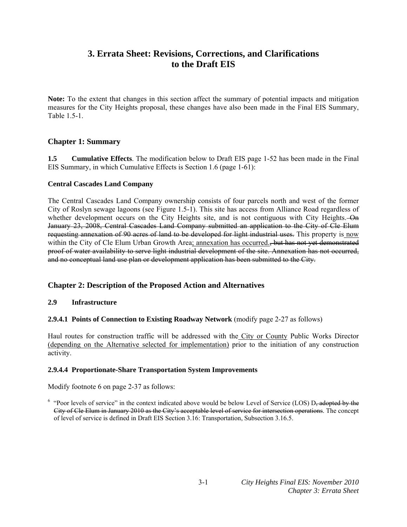# **3. Errata Sheet: Revisions, Corrections, and Clarifications to the Draft EIS**

**Note:** To the extent that changes in this section affect the summary of potential impacts and mitigation measures for the City Heights proposal, these changes have also been made in the Final EIS Summary, Table 1.5-1.

# **Chapter 1: Summary**

**1.5 Cumulative Effects**. The modification below to Draft EIS page 1-52 has been made in the Final EIS Summary, in which Cumulative Effects is Section 1.6 (page 1-61):

#### **Central Cascades Land Company**

The Central Cascades Land Company ownership consists of four parcels north and west of the former City of Roslyn sewage lagoons (see Figure 1.5-1). This site has access from Alliance Road regardless of whether development occurs on the City Heights site, and is not contiguous with City Heights. On January 23, 2008, Central Cascades Land Company submitted an application to the City of Cle Elum requesting annexation of 90 acres of land to be developed for light industrial uses. This property is now within the City of Cle Elum Urban Growth Area; annexation has occurred., but has not yet demonstrated proof of water availability to serve light industrial development of the site. Annexation has not occurred, and no conceptual land use plan or development application has been submitted to the City.

# **Chapter 2: Description of the Proposed Action and Alternatives**

# **2.9 Infrastructure**

#### **2.9.4.1 Points of Connection to Existing Roadway Network** (modify page 2-27 as follows)

Haul routes for construction traffic will be addressed with the City or County Public Works Director (depending on the Alternative selected for implementation) prior to the initiation of any construction activity.

# **2.9.4.4 Proportionate-Share Transportation System Improvements**

Modify footnote 6 on page 2-37 as follows:

 $6 \text{ "Poor levels of service" in the context indicated above would be below Level of Service (LOS) D<sub>7</sub> adopted by the$ City of Cle Elum in January 2010 as the City's acceptable level of service for intersection operations. The concept of level of service is defined in Draft EIS Section 3.16: Transportation, Subsection 3.16.5.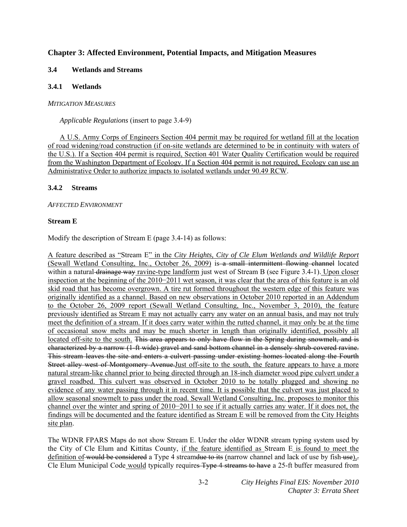# **Chapter 3: Affected Environment, Potential Impacts, and Mitigation Measures**

### **3.4 Wetlands and Streams**

#### **3.4.1 Wetlands**

#### *MITIGATION MEASURES*

*Applicable Regulations* (insert to page 3.4-9)

 A U.S. Army Corps of Engineers Section 404 permit may be required for wetland fill at the location of road widening/road construction (if on-site wetlands are determined to be in continuity with waters of the U.S.). If a Section 404 permit is required, Section 401 Water Quality Certification would be required from the Washington Department of Ecology. If a Section 404 permit is not required, Ecology can use an Administrative Order to authorize impacts to isolated wetlands under 90.49 RCW.

#### **3.4.2 Streams**

# *AFFECTED ENVIRONMENT*

#### **Stream E**

Modify the description of Stream E (page 3.4-14) as follows:

A feature described as "Stream E" in the *City Heights, City of Cle Elum Wetlands and Wildlife Report*  (Sewall Wetland Consulting, Inc., October 26, 2009) is a small intermittent flowing channel located within a natural <del>drainage way</del> ravine-type landform just west of Stream B (see Figure 3.4-1). Upon closer inspection at the beginning of the 2010−2011 wet season, it was clear that the area of this feature is an old skid road that has become overgrown. A tire rut formed throughout the western edge of this feature was originally identified as a channel. Based on new observations in October 2010 reported in an Addendum to the October 26, 2009 report (Sewall Wetland Consulting, Inc., November 3, 2010), the feature previously identified as Stream E may not actually carry any water on an annual basis, and may not truly meet the definition of a stream. If it does carry water within the rutted channel, it may only be at the time of occasional snow melts and may be much shorter in length than originally identified, possibly all located off-site to the south. This area appears to only have flow in the Spring during snowmelt, and is characterized by a narrow (1-ft wide) gravel and sand bottom channel in a densely shrub-covered ravine. This stream leaves the site and enters a culvert passing under existing homes located along the Fourth Street alley west of Montgomery Avenue.Just off-site to the south, the feature appears to have a more natural stream-like channel prior to being directed through an 18-inch diameter wood pipe culvert under a gravel roadbed. This culvert was observed in October 2010 to be totally plugged and showing no evidence of any water passing through it in recent time. It is possible that the culvert was just placed to allow seasonal snowmelt to pass under the road. Sewall Wetland Consulting, Inc. proposes to monitor this channel over the winter and spring of 2010−2011 to see if it actually carries any water. If it does not, the findings will be documented and the feature identified as Stream E will be removed from the City Heights site plan.

The WDNR FPARS Maps do not show Stream E. Under the older WDNR stream typing system used by the City of Cle Elum and Kittitas County, if the feature identified as Stream E is found to meet the definition of would be considered a Type 4 streamdue to its (narrow channel and lack of use by fish-use), Cle Elum Municipal Code would typically requires Type 4 streams to have a 25-ft buffer measured from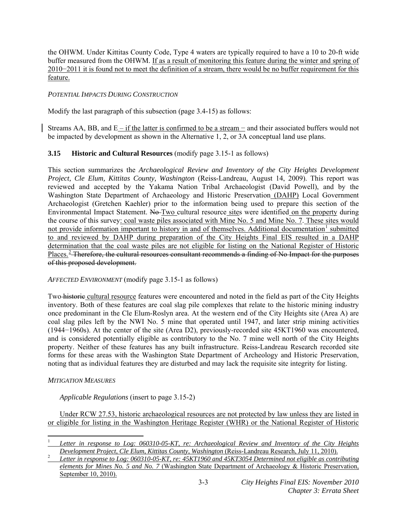the OHWM. Under Kittitas County Code, Type 4 waters are typically required to have a 10 to 20-ft wide buffer measured from the OHWM. If as a result of monitoring this feature during the winter and spring of 2010−2011 it is found not to meet the definition of a stream, there would be no buffer requirement for this feature.

#### *POTENTIAL IMPACTS DURING CONSTRUCTION*

Modify the last paragraph of this subsection (page 3.4-15) as follows:

Streams AA, BB, and  $E - if$  the latter is confirmed to be a stream – and their associated buffers would not be impacted by development as shown in the Alternative 1, 2, or 3A conceptual land use plans.

# **3.15 Historic and Cultural Resources** (modify page 3.15-1 as follows)

This section summarizes the *Archaeological Review and Inventory of the City Heights Development Project, Cle Elum, Kittitas County, Washington* (Reiss-Landreau, August 14, 2009). This report was reviewed and accepted by the Yakama Nation Tribal Archaeologist (David Powell), and by the Washington State Department of Archaeology and Historic Preservation (DAHP) Local Government Archaeologist (Gretchen Kaehler) prior to the information being used to prepare this section of the Environmental Impact Statement. No Two cultural resource sites were identified on the property during the course of this survey: coal waste piles associated with Mine No. 5 and Mine No. 7. These sites would not provide information important to history in and of themselves. Additional documentation<sup>[1](#page-2-0)</sup> submitted to and reviewed by DAHP during preparation of the City Heights Final EIS resulted in a DAHP determination that the coal waste piles are not eligible for listing on the National Register of Historic Places.<sup>[2](#page-2-1)</sup> Therefore, the cultural resources consultant recommends a finding of No Impact for the purposes of this proposed development.

*AFFECTED ENVIRONMENT* (modify page 3.15-1 as follows)

Two historic cultural resource features were encountered and noted in the field as part of the City Heights inventory. Both of these features are coal slag pile complexes that relate to the historic mining industry once predominant in the Cle Elum-Roslyn area. At the western end of the City Heights site (Area A) are coal slag piles left by the NWI No. 5 mine that operated until 1947, and later strip mining activities (1944−1960s). At the center of the site (Area D2), previously-recorded site 45KT1960 was encountered, and is considered potentially eligible as contributory to the No. 7 mine well north of the City Heights property. Neither of these features has any built infrastructure. Reiss-Landreau Research recorded site forms for these areas with the Washington State Department of Archeology and Historic Preservation, noting that as individual features they are disturbed and may lack the requisite site integrity for listing.

# *MITIGATION MEASURES*

*Applicable Regulations* (insert to page 3.15-2)

 Under RCW 27.53, historic archaeological resources are not protected by law unless they are listed in or eligible for listing in the Washington Heritage Register (WHR) or the National Register of Historic

<span id="page-2-0"></span> 1 *Letter in response to Log: 060310-05-KT, re: Archaeological Review and Inventory of the City Heights Development Project, Cle Elum, Kittitas County, Washington (Reiss-Landreau Research, July 11, 2010).* 

<span id="page-2-1"></span>*Letter in response to Log: 060310-05-KT, re: 45KT1960 and 45KT3054 Determined not eligible as contributing elements for Mines No. 5 and No. 7* (Washington State Department of Archaeology & Historic Preservation, September 10, 2010).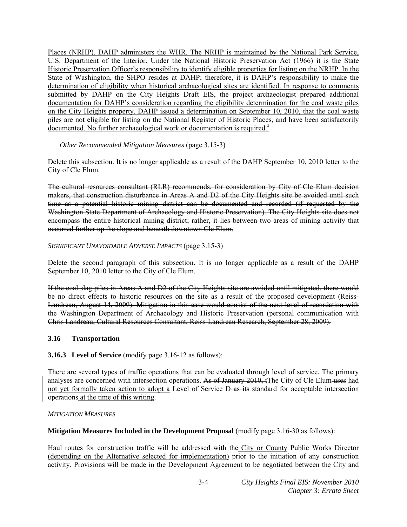Places (NRHP). DAHP administers the WHR. The NRHP is maintained by the National Park Service, U.S. Department of the Interior. Under the National Historic Preservation Act (1966) it is the State Historic Preservation Officer's responsibility to identify eligible properties for listing on the NRHP. In the State of Washington, the SHPO resides at DAHP; therefore, it is DAHP's responsibility to make the determination of eligibility when historical archaeological sites are identified. In response to comments submitted by DAHP on the City Heights Draft EIS, the project archaeologist prepared additional documentation for DAHP's consideration regarding the eligibility determination for the coal waste piles on the City Heights property. DAHP issued a determination on September 10, 2010, that the coal waste piles are not eligible for listing on the National Register of Historic Places, and have been satisfactorily documented. No further archaeological work or documentation is required.<sup>2</sup>

#### *Other Recommended Mitigation Measures* (page 3.15-3)

Delete this subsection. It is no longer applicable as a result of the DAHP September 10, 2010 letter to the City of Cle Elum.

The cultural resources consultant (RLR) recommends, for consideration by City of Cle Elum decision makers, that construction disturbance in Areas A and D2 of the City Heights site be avoided until such time as a potential historic mining district can be documented and recorded (if requested by the Washington State Department of Archaeology and Historic Preservation). The City Heights site does not encompass the entire historical mining district; rather, it lies between two areas of mining activity that occurred further up the slope and beneath downtown Cle Elum.

#### *SIGNIFICANT UNAVOIDABLE ADVERSE IMPACTS* (page 3.15-3)

Delete the second paragraph of this subsection. It is no longer applicable as a result of the DAHP September 10, 2010 letter to the City of Cle Elum.

If the coal slag piles in Areas A and D2 of the City Heights site are avoided until mitigated, there would be no direct effects to historic resources on the site as a result of the proposed development (Reiss-Landreau, August 14, 2009). Mitigation in this case would consist of the next level of recordation with the Washington Department of Archaeology and Historic Preservation (personal communication with Chris Landreau, Cultural Resources Consultant, Reiss-Landreau Research, September 28, 2009).

# **3.16 Transportation**

# **3.16.3 Level of Service** (modify page 3.16-12 as follows):

There are several types of traffic operations that can be evaluated through level of service. The primary analyses are concerned with intersection operations. As of January 2010, tThe City of Cle Elum uses had not yet formally taken action to adopt a Level of Service D-as its standard for acceptable intersection operations at the time of this writing.

#### *MITIGATION MEASURES*

#### **Mitigation Measures Included in the Development Proposal** (modify page 3.16-30 as follows):

Haul routes for construction traffic will be addressed with the City or County Public Works Director (depending on the Alternative selected for implementation) prior to the initiation of any construction activity. Provisions will be made in the Development Agreement to be negotiated between the City and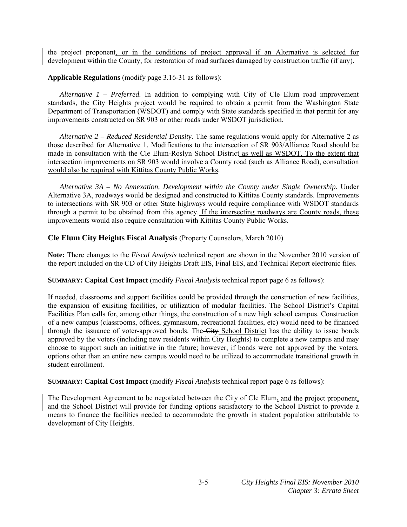the project proponent, or in the conditions of project approval if an Alternative is selected for development within the County, for restoration of road surfaces damaged by construction traffic (if any).

**Applicable Regulations** (modify page 3.16-31 as follows):

*Alternative 1 – Preferred.* In addition to complying with City of Cle Elum road improvement standards, the City Heights project would be required to obtain a permit from the Washington State Department of Transportation (WSDOT) and comply with State standards specified in that permit for any improvements constructed on SR 903 or other roads under WSDOT jurisdiction.

*Alternative 2 – Reduced Residential Density.* The same regulations would apply for Alternative 2 as those described for Alternative 1. Modifications to the intersection of SR 903/Alliance Road should be made in consultation with the Cle Elum-Roslyn School District as well as WSDOT. To the extent that intersection improvements on SR 903 would involve a County road (such as Alliance Road), consultation would also be required with Kittitas County Public Works.

*Alternative 3A – No Annexation, Development within the County under Single Ownership.* Under Alternative 3A, roadways would be designed and constructed to Kittitas County standards. Improvements to intersections with SR 903 or other State highways would require compliance with WSDOT standards through a permit to be obtained from this agency. If the intersecting roadways are County roads, these improvements would also require consultation with Kittitas County Public Works.

#### **Cle Elum City Heights Fiscal Analysis** (Property Counselors, March 2010)

**Note:** There changes to the *Fiscal Analysis* technical report are shown in the November 2010 version of the report included on the CD of City Heights Draft EIS, Final EIS, and Technical Report electronic files.

**SUMMARY: Capital Cost Impact** (modify *Fiscal Analysis* technical report page 6 as follows):

If needed, classrooms and support facilities could be provided through the construction of new facilities, the expansion of exisiting facilities, or utilization of modular facilities. The School District's Capital Facilities Plan calls for, among other things, the construction of a new high school campus. Construction of a new campus (classrooms, offices, gymnasium, recreational facilities, etc) would need to be financed through the issuance of voter-approved bonds. The City School District has the ability to issue bonds approved by the voters (including new residents within City Heights) to complete a new campus and may choose to support such an initiative in the future; however, if bonds were not approved by the voters, options other than an entire new campus would need to be utilized to accommodate transitional growth in student enrollment.

**SUMMARY: Capital Cost Impact** (modify *Fiscal Analysis* technical report page 6 as follows):

The Development Agreement to be negotiated between the City of Cle Elum, and the project proponent, and the School District will provide for funding options satisfactory to the School District to provide a means to finance the facilities needed to accommodate the growth in student population attributable to development of City Heights.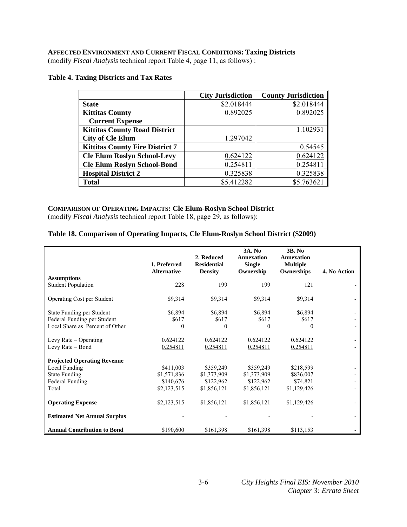# **AFFECTED ENVIRONMENT AND CURRENT FISCAL CONDITIONS: Taxing Districts**

(modify *Fiscal Analysis* technical report Table 4, page 11, as follows) :

#### **Table 4. Taxing Districts and Tax Rates**

|                                        | <b>City Jurisdiction</b> | <b>County Jurisdiction</b> |
|----------------------------------------|--------------------------|----------------------------|
| <b>State</b>                           | \$2.018444               | \$2.018444                 |
| <b>Kittitas County</b>                 | 0.892025                 | 0.892025                   |
| <b>Current Expense</b>                 |                          |                            |
| <b>Kittitas County Road District</b>   |                          | 1.102931                   |
| <b>City of Cle Elum</b>                | 1.297042                 |                            |
| <b>Kittitas County Fire District 7</b> |                          | 0.54545                    |
| <b>Cle Elum Roslyn School-Levy</b>     | 0.624122                 | 0.624122                   |
| <b>Cle Elum Roslyn School-Bond</b>     | 0.254811                 | 0.254811                   |
| <b>Hospital District 2</b>             | 0.325838                 | 0.325838                   |
| <b>Total</b>                           | \$5.412282               | \$5.763621                 |

#### **COMPARISON OF OPERATING IMPACTS: Cle Elum-Roslyn School District**

(modify *Fiscal Analysis* technical report Table 18, page 29, as follows):

#### **Table 18. Comparison of Operating Impacts, Cle Elum-Roslyn School District (\$2009)**

|                                     | 1. Preferred<br><b>Alternative</b> | 2. Reduced<br><b>Residential</b><br><b>Density</b> | 3A. No<br><b>Annexation</b><br><b>Single</b><br>Ownership | <b>3B. No</b><br><b>Annexation</b><br><b>Multiple</b><br>Ownerships | 4. No Action |
|-------------------------------------|------------------------------------|----------------------------------------------------|-----------------------------------------------------------|---------------------------------------------------------------------|--------------|
| <b>Assumptions</b>                  |                                    |                                                    |                                                           |                                                                     |              |
| <b>Student Population</b>           | 228                                | 199                                                | 199                                                       | 121                                                                 |              |
| <b>Operating Cost per Student</b>   | \$9,314                            | \$9,314                                            | \$9,314                                                   | \$9,314                                                             |              |
| State Funding per Student           | \$6,894                            | \$6,894                                            | \$6,894                                                   | \$6,894                                                             |              |
| Federal Funding per Student         | \$617                              | \$617                                              | \$617                                                     | \$617                                                               |              |
| Local Share as Percent of Other     | $\theta$                           | $\Omega$                                           | 0                                                         | 0                                                                   |              |
|                                     |                                    |                                                    |                                                           |                                                                     |              |
| Levy Rate $-$ Operating             | 0.624122                           | 0.624122                                           | 0.624122                                                  | 0.624122                                                            |              |
| Levy Rate – Bond                    | 0.254811                           | 0.254811                                           | 0.254811                                                  | 0.254811                                                            |              |
| <b>Projected Operating Revenue</b>  |                                    |                                                    |                                                           |                                                                     |              |
| Local Funding                       | \$411,003                          | \$359,249                                          | \$359,249                                                 | \$218,599                                                           |              |
| <b>State Funding</b>                | \$1,571,836                        | \$1,373,909                                        | \$1,373,909                                               | \$836,007                                                           |              |
| Federal Funding                     | \$140,676                          | \$122,962                                          | \$122,962                                                 | \$74,821                                                            |              |
| Total                               | \$2,123,515                        | \$1,856,121                                        | \$1,856,121                                               | \$1,129,426                                                         |              |
| <b>Operating Expense</b>            | \$2,123,515                        | \$1,856,121                                        | \$1,856,121                                               | \$1,129,426                                                         |              |
| <b>Estimated Net Annual Surplus</b> |                                    |                                                    |                                                           |                                                                     |              |
| <b>Annual Contribution to Bond</b>  | \$190,600                          | \$161,398                                          | \$161,398                                                 | \$113,153                                                           |              |